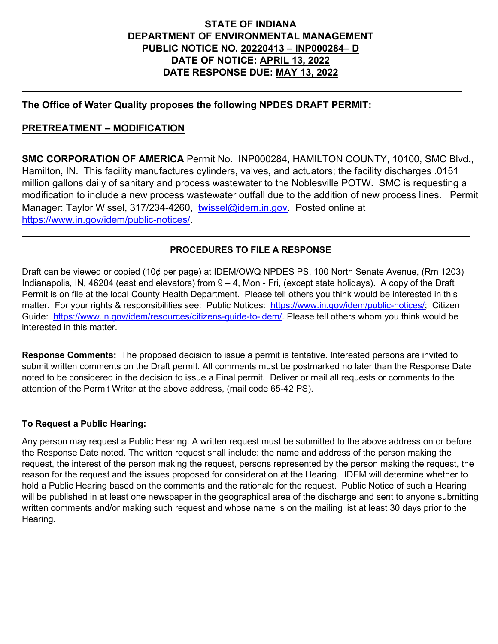### **STATE OF INDIANA DEPARTMENT OF ENVIRONMENTAL MANAGEMENT PUBLIC NOTICE NO. 20220413 – INP000284– D DATE OF NOTICE: APRIL 13, 2022 DATE RESPONSE DUE: MAY 13, 2022**

**\_\_\_\_\_\_\_\_\_\_\_\_\_\_\_\_\_\_\_\_\_\_\_\_\_\_\_\_\_\_\_\_\_\_\_\_\_\_\_\_\_\_\_\_\_\_\_\_\_\_\_\_\_\_\_\_\_\_ \_\_\_\_\_\_\_\_\_\_\_\_\_\_\_\_\_\_\_\_\_\_\_\_\_\_\_\_**

### **The Office of Water Quality proposes the following NPDES DRAFT PERMIT:**

#### **PRETREATMENT – MODIFICATION**

**SMC CORPORATION OF AMERICA** Permit No. INP000284, HAMILTON COUNTY, 10100, SMC Blvd., Hamilton, IN. This facility manufactures cylinders, valves, and actuators; the facility discharges .0151 million gallons daily of sanitary and process wastewater to the Noblesville POTW. SMC is requesting a modification to include a new process wastewater outfall due to the addition of new process lines. Permit Manager: Taylor Wissel, 317/234-4260, [twissel@idem.in.gov.](mailto:twissel@idem.in.gov) Posted online at [https://www.in.gov/idem/public-notices/.](https://www.in.gov/idem/public-notices/)

### **PROCEDURES TO FILE A RESPONSE**

 **\_\_\_\_\_\_\_\_\_\_\_\_\_\_\_\_\_\_\_\_\_\_\_\_\_\_\_\_\_\_\_\_\_\_\_\_\_\_\_\_\_\_\_ \_\_\_\_\_\_\_\_\_\_\_\_\_\_ \_\_\_\_\_**

Draft can be viewed or copied (10¢ per page) at IDEM/OWQ NPDES PS, 100 North Senate Avenue, (Rm 1203) Indianapolis, IN, 46204 (east end elevators) from 9 – 4, Mon - Fri, (except state holidays). A copy of the Draft Permit is on file at the local County Health Department. Please tell others you think would be interested in this matter. For your rights & responsibilities see: Public Notices: [https://www.in.gov/idem/public-notices/;](https://www.in.gov/idem/public-notices/) Citizen Guide: [https://www.in.gov/idem/resources/citizens-guide-to-idem/.](https://www.in.gov/idem/resources/citizens-guide-to-idem/) Please tell others whom you think would be interested in this matter.

**Response Comments:** The proposed decision to issue a permit is tentative. Interested persons are invited to submit written comments on the Draft permit. All comments must be postmarked no later than the Response Date noted to be considered in the decision to issue a Final permit. Deliver or mail all requests or comments to the attention of the Permit Writer at the above address, (mail code 65-42 PS).

#### **To Request a Public Hearing:**

Any person may request a Public Hearing. A written request must be submitted to the above address on or before the Response Date noted. The written request shall include: the name and address of the person making the request, the interest of the person making the request, persons represented by the person making the request, the reason for the request and the issues proposed for consideration at the Hearing. IDEM will determine whether to hold a Public Hearing based on the comments and the rationale for the request. Public Notice of such a Hearing will be published in at least one newspaper in the geographical area of the discharge and sent to anyone submitting written comments and/or making such request and whose name is on the mailing list at least 30 days prior to the Hearing.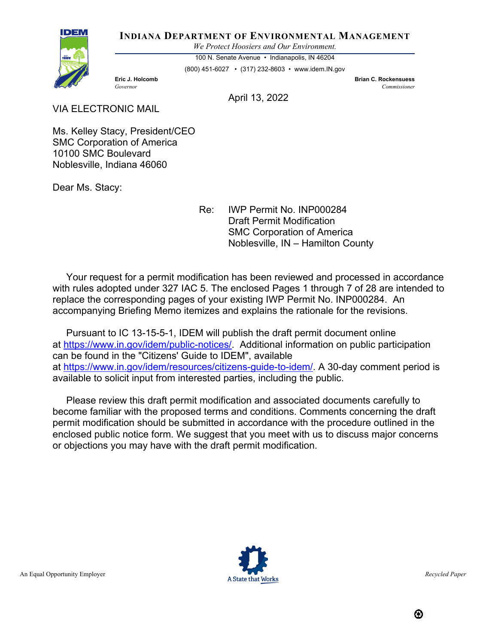**INDIANA DEPARTMENT OF ENVIRONMENTAL MANAGEMENT**

*We Protect Hoosiers and Our Environment.*

100 N. Senate Avenue • Indianapolis, IN 46204 (800) 451-6027 • (317) 232-8603 • www.idem.IN.gov

**Eric J. Holcomb Brian C. Rockensuess** *Governor Commissioner* 

April 13, 2022

VIA ELECTRONIC MAIL

Ms. Kelley Stacy, President/CEO SMC Corporation of America 10100 SMC Boulevard Noblesville, Indiana 46060

Dear Ms. Stacy:

IDEN

Re: IWP Permit No. INP000284 Draft Permit Modification SMC Corporation of America Noblesville, IN – Hamilton County

 Your request for a permit modification has been reviewed and processed in accordance with rules adopted under 327 IAC 5. The enclosed Pages 1 through 7 of 28 are intended to replace the corresponding pages of your existing IWP Permit No. INP000284. An accompanying Briefing Memo itemizes and explains the rationale for the revisions.

 Pursuant to IC 13-15-5-1, IDEM will publish the draft permit document online at [https://www.in.gov/idem/public-notices/.](https://www.in.gov/idem/public-notices/) Additional information on public participation can be found in the "Citizens' Guide to IDEM", available at [https://www.in.gov/idem/resources/citizens-guide-to-idem/.](https://www.in.gov/idem/resources/citizens-guide-to-idem/) A 30-day comment period is available to solicit input from interested parties, including the public.

 Please review this draft permit modification and associated documents carefully to become familiar with the proposed terms and conditions. Comments concerning the draft permit modification should be submitted in accordance with the procedure outlined in the enclosed public notice form. We suggest that you meet with us to discuss major concerns or objections you may have with the draft permit modification.

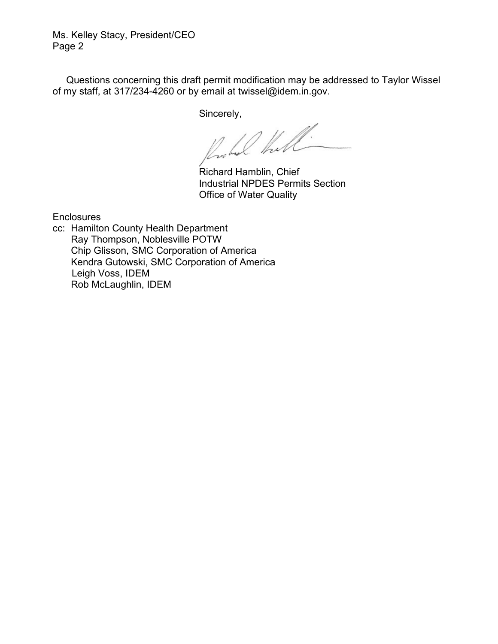Ms. Kelley Stacy, President/CEO Page 2

 Questions concerning this draft permit modification may be addressed to Taylor Wissel of my staff, at 317/234-4260 or by email at twissel@idem.in.gov.

Sincerely,

 $\sqrt{\frac{1}{2}}$ 

Industrial NPDES Permits Section Office of Water Quality

**Enclosures** 

cc: Hamilton County Health Department Ray Thompson, Noblesville POTW Chip Glisson, SMC Corporation of America Kendra Gutowski, SMC Corporation of America Leigh Voss, IDEM Rob McLaughlin, IDEM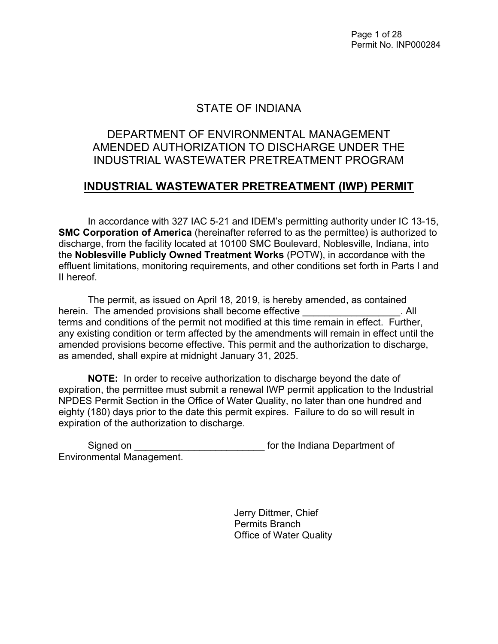Page 1 of 28 Permit No. INP000284

## STATE OF INDIANA

# DEPARTMENT OF ENVIRONMENTAL MANAGEMENT AMENDED AUTHORIZATION TO DISCHARGE UNDER THE INDUSTRIAL WASTEWATER PRETREATMENT PROGRAM

### **INDUSTRIAL WASTEWATER PRETREATMENT (IWP) PERMIT**

In accordance with 327 IAC 5-21 and IDEM's permitting authority under IC 13-15, **SMC Corporation of America** (hereinafter referred to as the permittee) is authorized to discharge, from the facility located at 10100 SMC Boulevard, Noblesville, Indiana, into the **Noblesville Publicly Owned Treatment Works** (POTW), in accordance with the effluent limitations, monitoring requirements, and other conditions set forth in Parts I and II hereof.

The permit, as issued on April 18, 2019, is hereby amended, as contained herein. The amended provisions shall become effective **Example 20** 1 All terms and conditions of the permit not modified at this time remain in effect. Further, any existing condition or term affected by the amendments will remain in effect until the amended provisions become effective. This permit and the authorization to discharge, as amended, shall expire at midnight January 31, 2025.

**NOTE:** In order to receive authorization to discharge beyond the date of expiration, the permittee must submit a renewal IWP permit application to the Industrial NPDES Permit Section in the Office of Water Quality, no later than one hundred and eighty (180) days prior to the date this permit expires. Failure to do so will result in expiration of the authorization to discharge.

Signed on **Signed on Signed on Signed on Signed on Signed on Signed on Signed of Signed of Signed of Signed of Signed of Signed of Signed of Signed of Signed of Signed of Signed of Signed** Environmental Management.

> Jerry Dittmer, Chief Permits Branch Office of Water Quality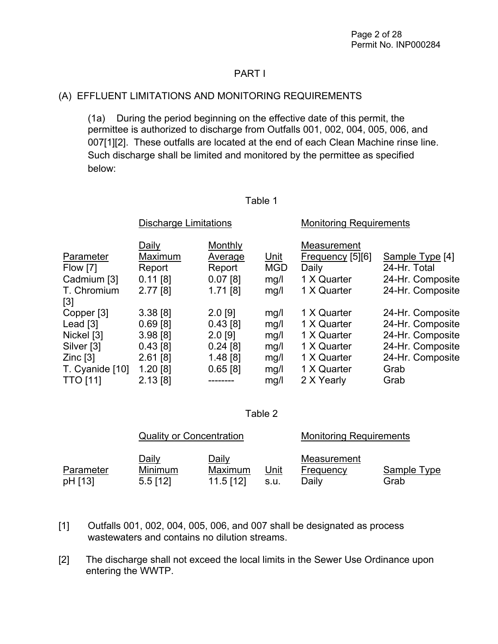### PART I

### (A) EFFLUENT LIMITATIONS AND MONITORING REQUIREMENTS

 (1a) During the period beginning on the effective date of this permit, the permittee is authorized to discharge from Outfalls 001, 002, 004, 005, 006, and 007[1][2]. These outfalls are located at the end of each Clean Machine rinse line. Such discharge shall be limited and monitored by the permittee as specified below:

#### Table 1

|                 | <b>Discharge Limitations</b> |            |             | <b>Monitoring Requirements</b> |                  |  |
|-----------------|------------------------------|------------|-------------|--------------------------------|------------------|--|
|                 | Daily                        | Monthly    |             | Measurement                    |                  |  |
| Parameter       | Maximum                      | Average    | <u>Unit</u> | Frequency [5][6]               | Sample Type [4]  |  |
| Flow [7]        | Report                       | Report     | <b>MGD</b>  | Daily                          | 24-Hr. Total     |  |
| Cadmium [3]     | $0.11$ [8]                   | $0.07$ [8] | mg/l        | 1 X Quarter                    | 24-Hr. Composite |  |
| T. Chromium     | 2.77[8]                      | $1.71$ [8] | mg/l        | 1 X Quarter                    | 24-Hr. Composite |  |
| $[3]$           |                              |            |             |                                |                  |  |
| Copper [3]      | 3.38[8]                      | $2.0$ [9]  | mg/l        | 1 X Quarter                    | 24-Hr. Composite |  |
| Lead $[3]$      | $0.69$ [8]                   | 0.43[8]    | mg/l        | 1 X Quarter                    | 24-Hr. Composite |  |
| Nickel [3]      | 3.98[8]                      | $2.0$ [9]  | mg/l        | 1 X Quarter                    | 24-Hr. Composite |  |
| Silver [3]      | 0.43[8]                      | $0.24$ [8] | mg/l        | 1 X Quarter                    | 24-Hr. Composite |  |
| $Zinc$ [3]      | $2.61$ [8]                   | 1.48[8]    | mg/l        | 1 X Quarter                    | 24-Hr. Composite |  |
| T. Cyanide [10] | 1.20[8]                      | 0.65[8]    | mg/l        | 1 X Quarter                    | Grab             |  |
| <b>TTO [11]</b> | 2.13[8]                      |            | mg/l        | 2 X Yearly                     | Grab             |  |

Table 2

|                      | <b>Quality or Concentration</b>              |                                        |              | <b>Monitoring Requirements</b>    |                     |  |
|----------------------|----------------------------------------------|----------------------------------------|--------------|-----------------------------------|---------------------|--|
| Parameter<br>pH [13] | <u>Daily</u><br><b>Minimum</b><br>$5.5$ [12] | <u>Daily</u><br>Maximum<br>$11.5$ [12] | Unit<br>S.U. | Measurement<br>Frequency<br>Daily | Sample Type<br>Grab |  |

[1] Outfalls 001, 002, 004, 005, 006, and 007 shall be designated as process wastewaters and contains no dilution streams.

[2] The discharge shall not exceed the local limits in the Sewer Use Ordinance upon entering the WWTP.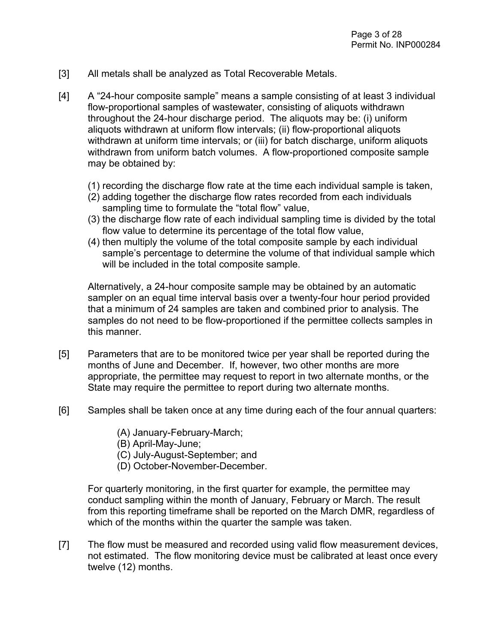- [3] All metals shall be analyzed as Total Recoverable Metals.
- [4] A "24-hour composite sample" means a sample consisting of at least 3 individual flow-proportional samples of wastewater, consisting of aliquots withdrawn throughout the 24-hour discharge period. The aliquots may be: (i) uniform aliquots withdrawn at uniform flow intervals; (ii) flow-proportional aliquots withdrawn at uniform time intervals; or (iii) for batch discharge, uniform aliquots withdrawn from uniform batch volumes. A flow-proportioned composite sample may be obtained by:
	- (1) recording the discharge flow rate at the time each individual sample is taken,
	- (2) adding together the discharge flow rates recorded from each individuals sampling time to formulate the "total flow" value,
	- (3) the discharge flow rate of each individual sampling time is divided by the total flow value to determine its percentage of the total flow value,
	- (4) then multiply the volume of the total composite sample by each individual sample's percentage to determine the volume of that individual sample which will be included in the total composite sample.

Alternatively, a 24-hour composite sample may be obtained by an automatic sampler on an equal time interval basis over a twenty-four hour period provided that a minimum of 24 samples are taken and combined prior to analysis. The samples do not need to be flow-proportioned if the permittee collects samples in this manner.

- [5] Parameters that are to be monitored twice per year shall be reported during the months of June and December. If, however, two other months are more appropriate, the permittee may request to report in two alternate months, or the State may require the permittee to report during two alternate months.
- [6] Samples shall be taken once at any time during each of the four annual quarters:
	- (A) January-February-March;
	- (B) April-May-June;
	- (C) July-August-September; and
	- (D) October-November-December.

For quarterly monitoring, in the first quarter for example, the permittee may conduct sampling within the month of January, February or March. The result from this reporting timeframe shall be reported on the March DMR, regardless of which of the months within the quarter the sample was taken.

[7] The flow must be measured and recorded using valid flow measurement devices, not estimated. The flow monitoring device must be calibrated at least once every twelve (12) months.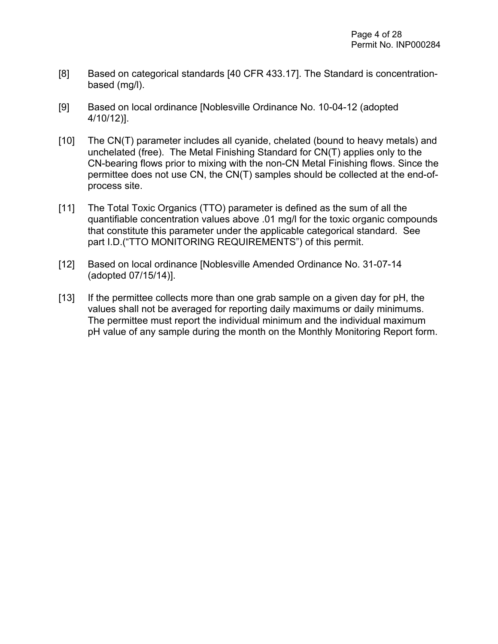- [8] Based on categorical standards [40 CFR 433.17]. The Standard is concentrationbased (mg/l).
- [9] Based on local ordinance [Noblesville Ordinance No. 10-04-12 (adopted 4/10/12)].
- [10] The CN(T) parameter includes all cyanide, chelated (bound to heavy metals) and unchelated (free). The Metal Finishing Standard for CN(T) applies only to the CN-bearing flows prior to mixing with the non-CN Metal Finishing flows. Since the permittee does not use CN, the CN(T) samples should be collected at the end-ofprocess site.
- [11] The Total Toxic Organics (TTO) parameter is defined as the sum of all the quantifiable concentration values above .01 mg/l for the toxic organic compounds that constitute this parameter under the applicable categorical standard. See part I.D.("TTO MONITORING REQUIREMENTS") of this permit.
- [12] Based on local ordinance [Noblesville Amended Ordinance No. 31-07-14] (adopted 07/15/14)].
- [13] If the permittee collects more than one grab sample on a given day for pH, the values shall not be averaged for reporting daily maximums or daily minimums. The permittee must report the individual minimum and the individual maximum pH value of any sample during the month on the Monthly Monitoring Report form.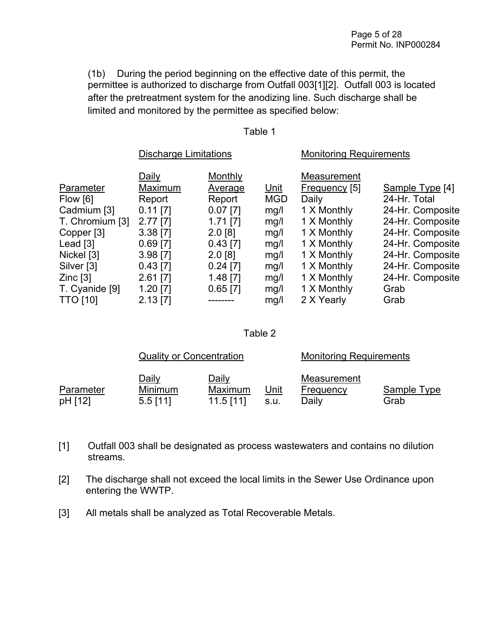(1b) During the period beginning on the effective date of this permit, the permittee is authorized to discharge from Outfall 003[1][2]. Outfall 003 is located after the pretreatment system for the anodizing line. Such discharge shall be limited and monitored by the permittee as specified below:

#### Table 1

|                       | <b>Discharge Limitations</b> |            |             | <b>Monitoring Requirements</b> |                  |  |
|-----------------------|------------------------------|------------|-------------|--------------------------------|------------------|--|
|                       | Daily                        | Monthly    |             | Measurement                    |                  |  |
| Parameter             | Maximum                      | Average    | <u>Unit</u> | Frequency [5]                  | Sample Type [4]  |  |
| Flow [6]              | Report                       | Report     | <b>MGD</b>  | Daily                          | 24-Hr. Total     |  |
| Cadmium [3]           | $0.11$ [7]                   | $0.07$ [7] | mg/l        | 1 X Monthly                    | 24-Hr. Composite |  |
| T. Chromium [3]       | $2.77$ [7]                   | $1.71$ [7] | mg/l        | 1 X Monthly                    | 24-Hr. Composite |  |
| Copper [3]            | $3.38$ [7]                   | $2.0$ [8]  | mg/l        | 1 X Monthly                    | 24-Hr. Composite |  |
| Lead [3]              | $0.69$ [7]                   | $0.43$ [7] | mg/l        | 1 X Monthly                    | 24-Hr. Composite |  |
| Nickel [3]            | $3.98$ [7]                   | $2.0$ [8]  | mg/l        | 1 X Monthly                    | 24-Hr. Composite |  |
| Silver <sup>[3]</sup> | $0.43$ [7]                   | $0.24$ [7] | mg/l        | 1 X Monthly                    | 24-Hr. Composite |  |
| $Zinc$ [3]            | $2.61$ [7]                   | $1.48$ [7] | mg/l        | 1 X Monthly                    | 24-Hr. Composite |  |
| T. Cyanide [9]        | $1.20$ [7]                   | $0.65$ [7] | mg/l        | 1 X Monthly                    | Grab             |  |
| <b>TTO [10]</b>       | $2.13$ [7]                   |            | mg/l        | 2 X Yearly                     | Grab             |  |

#### Table 2

|                      | <b>Quality or Concentration</b>              |                                        |              | <b>Monitoring Requirements</b>    |                     |
|----------------------|----------------------------------------------|----------------------------------------|--------------|-----------------------------------|---------------------|
| Parameter<br>pH [12] | <u>Daily</u><br><b>Minimum</b><br>$5.5$ [11] | <u>Daily</u><br>Maximum<br>$11.5$ [11] | Unit<br>S.U. | Measurement<br>Frequency<br>Daily | Sample Type<br>Grab |

- [1] Outfall 003 shall be designated as process wastewaters and contains no dilution streams.
- [2] The discharge shall not exceed the local limits in the Sewer Use Ordinance upon entering the WWTP.
- [3] All metals shall be analyzed as Total Recoverable Metals.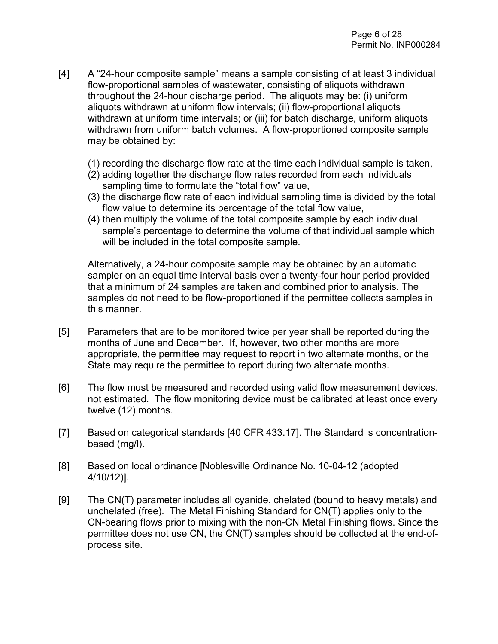- [4] A "24-hour composite sample" means a sample consisting of at least 3 individual flow-proportional samples of wastewater, consisting of aliquots withdrawn throughout the 24-hour discharge period. The aliquots may be: (i) uniform aliquots withdrawn at uniform flow intervals; (ii) flow-proportional aliquots withdrawn at uniform time intervals; or (iii) for batch discharge, uniform aliquots withdrawn from uniform batch volumes. A flow-proportioned composite sample may be obtained by:
	- (1) recording the discharge flow rate at the time each individual sample is taken,
	- (2) adding together the discharge flow rates recorded from each individuals sampling time to formulate the "total flow" value,
	- (3) the discharge flow rate of each individual sampling time is divided by the total flow value to determine its percentage of the total flow value,
	- (4) then multiply the volume of the total composite sample by each individual sample's percentage to determine the volume of that individual sample which will be included in the total composite sample.

Alternatively, a 24-hour composite sample may be obtained by an automatic sampler on an equal time interval basis over a twenty-four hour period provided that a minimum of 24 samples are taken and combined prior to analysis. The samples do not need to be flow-proportioned if the permittee collects samples in this manner.

- [5] Parameters that are to be monitored twice per year shall be reported during the months of June and December. If, however, two other months are more appropriate, the permittee may request to report in two alternate months, or the State may require the permittee to report during two alternate months.
- [6] The flow must be measured and recorded using valid flow measurement devices, not estimated. The flow monitoring device must be calibrated at least once every twelve (12) months.
- [7] Based on categorical standards [40 CFR 433.17]. The Standard is concentrationbased (mg/l).
- [8] Based on local ordinance [Noblesville Ordinance No. 10-04-12 (adopted 4/10/12)].
- [9] The CN(T) parameter includes all cyanide, chelated (bound to heavy metals) and unchelated (free). The Metal Finishing Standard for CN(T) applies only to the CN-bearing flows prior to mixing with the non-CN Metal Finishing flows. Since the permittee does not use CN, the CN(T) samples should be collected at the end-ofprocess site.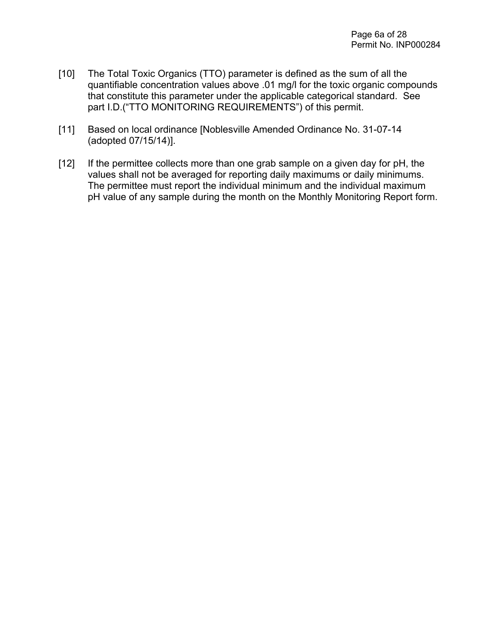- [10] The Total Toxic Organics (TTO) parameter is defined as the sum of all the quantifiable concentration values above .01 mg/l for the toxic organic compounds that constitute this parameter under the applicable categorical standard. See part I.D.("TTO MONITORING REQUIREMENTS") of this permit.
- [11] Based on local ordinance [Noblesville Amended Ordinance No. 31-07-14 (adopted 07/15/14)].
- [12] If the permittee collects more than one grab sample on a given day for pH, the values shall not be averaged for reporting daily maximums or daily minimums. The permittee must report the individual minimum and the individual maximum pH value of any sample during the month on the Monthly Monitoring Report form.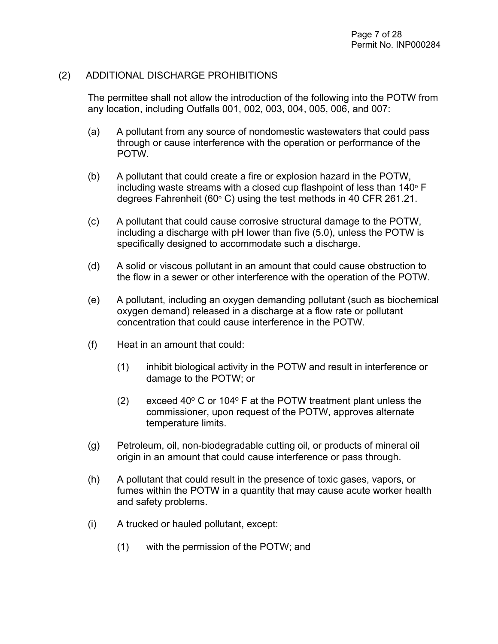#### (2) ADDITIONAL DISCHARGE PROHIBITIONS

The permittee shall not allow the introduction of the following into the POTW from any location, including Outfalls 001, 002, 003, 004, 005, 006, and 007:

- (a) A pollutant from any source of nondomestic wastewaters that could pass through or cause interference with the operation or performance of the POTW.
- (b) A pollutant that could create a fire or explosion hazard in the POTW, including waste streams with a closed cup flashpoint of less than  $140^\circ$  F degrees Fahrenheit (60 $\degree$  C) using the test methods in 40 CFR 261.21.
- (c) A pollutant that could cause corrosive structural damage to the POTW, including a discharge with pH lower than five (5.0), unless the POTW is specifically designed to accommodate such a discharge.
- (d) A solid or viscous pollutant in an amount that could cause obstruction to the flow in a sewer or other interference with the operation of the POTW.
- (e) A pollutant, including an oxygen demanding pollutant (such as biochemical oxygen demand) released in a discharge at a flow rate or pollutant concentration that could cause interference in the POTW.
- (f) Heat in an amount that could:
	- (1) inhibit biological activity in the POTW and result in interference or damage to the POTW; or
	- (2) exceed 40 $\degree$  C or 104 $\degree$  F at the POTW treatment plant unless the commissioner, upon request of the POTW, approves alternate temperature limits.
- (g) Petroleum, oil, non-biodegradable cutting oil, or products of mineral oil origin in an amount that could cause interference or pass through.
- (h) A pollutant that could result in the presence of toxic gases, vapors, or fumes within the POTW in a quantity that may cause acute worker health and safety problems.
- (i) A trucked or hauled pollutant, except:
	- (1) with the permission of the POTW; and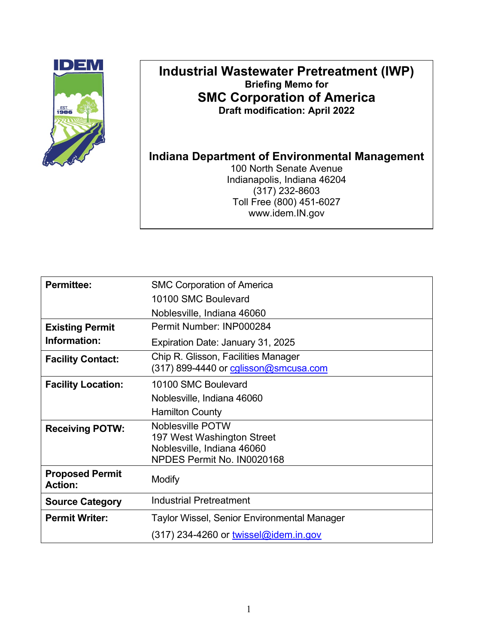

# **Industrial Wastewater Pretreatment (IWP) Briefing Memo for SMC Corporation of America Draft modification: April 2022**

**Indiana Department of Environmental Management**

100 North Senate Avenue Indianapolis, Indiana 46204 (317) 232-8603 Toll Free (800) 451-6027 www.idem.IN.gov

| <b>Permittee:</b>                        | <b>SMC Corporation of America</b>                        |
|------------------------------------------|----------------------------------------------------------|
|                                          | 10100 SMC Boulevard                                      |
|                                          | Noblesville, Indiana 46060                               |
| <b>Existing Permit</b>                   | Permit Number: INP000284                                 |
| Information:                             | Expiration Date: January 31, 2025                        |
| <b>Facility Contact:</b>                 | Chip R. Glisson, Facilities Manager                      |
|                                          | (317) 899-4440 or calisson@smcusa.com                    |
| <b>Facility Location:</b>                | 10100 SMC Boulevard                                      |
|                                          | Noblesville, Indiana 46060                               |
|                                          | <b>Hamilton County</b>                                   |
| <b>Receiving POTW:</b>                   | Noblesville POTW                                         |
|                                          | 197 West Washington Street                               |
|                                          | Noblesville, Indiana 46060<br>NPDES Permit No. IN0020168 |
|                                          |                                                          |
| <b>Proposed Permit</b><br><b>Action:</b> | <b>Modify</b>                                            |
| <b>Source Category</b>                   | <b>Industrial Pretreatment</b>                           |
| <b>Permit Writer:</b>                    | <b>Taylor Wissel, Senior Environmental Manager</b>       |
|                                          | (317) 234-4260 or <u>twissel@idem.in.gov</u>             |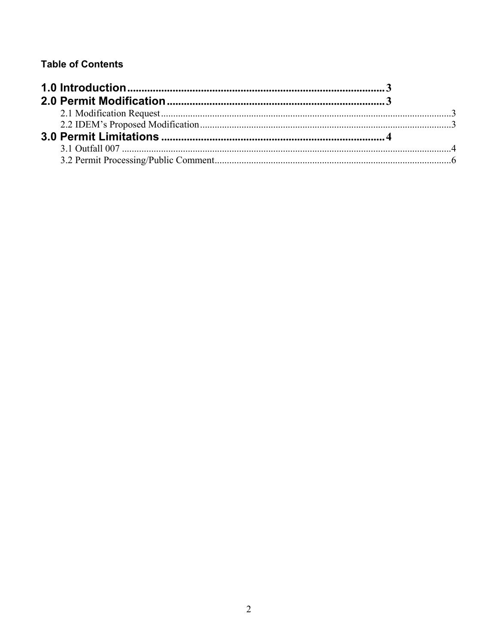# **Table of Contents**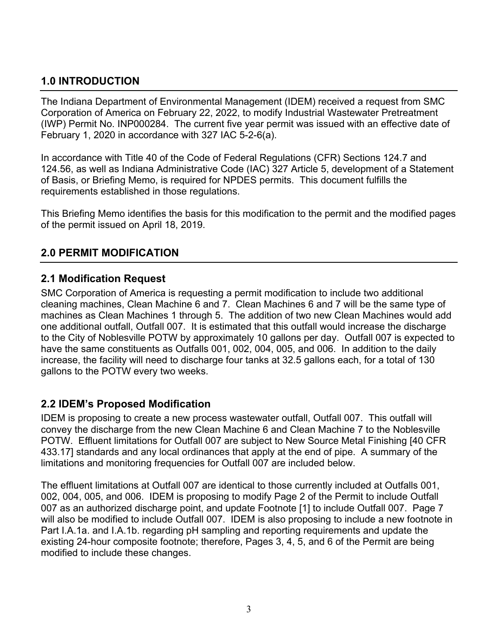# <span id="page-13-0"></span>**1.0 INTRODUCTION**

The Indiana Department of Environmental Management (IDEM) received a request from SMC Corporation of America on February 22, 2022, to modify Industrial Wastewater Pretreatment (IWP) Permit No. INP000284. The current five year permit was issued with an effective date of February 1, 2020 in accordance with 327 IAC 5-2-6(a).

In accordance with Title 40 of the Code of Federal Regulations (CFR) Sections 124.7 and 124.56, as well as Indiana Administrative Code (IAC) 327 Article 5, development of a Statement of Basis, or Briefing Memo, is required for NPDES permits. This document fulfills the requirements established in those regulations.

This Briefing Memo identifies the basis for this modification to the permit and the modified pages of the permit issued on April 18, 2019.

# <span id="page-13-1"></span>**2.0 PERMIT MODIFICATION**

### <span id="page-13-2"></span>**2.1 Modification Request**

SMC Corporation of America is requesting a permit modification to include two additional cleaning machines, Clean Machine 6 and 7. Clean Machines 6 and 7 will be the same type of machines as Clean Machines 1 through 5. The addition of two new Clean Machines would add one additional outfall, Outfall 007. It is estimated that this outfall would increase the discharge to the City of Noblesville POTW by approximately 10 gallons per day. Outfall 007 is expected to have the same constituents as Outfalls 001, 002, 004, 005, and 006. In addition to the daily increase, the facility will need to discharge four tanks at 32.5 gallons each, for a total of 130 gallons to the POTW every two weeks.

# <span id="page-13-3"></span>**2.2 IDEM's Proposed Modification**

IDEM is proposing to create a new process wastewater outfall, Outfall 007. This outfall will convey the discharge from the new Clean Machine 6 and Clean Machine 7 to the Noblesville POTW. Effluent limitations for Outfall 007 are subject to New Source Metal Finishing [40 CFR 433.17] standards and any local ordinances that apply at the end of pipe. A summary of the limitations and monitoring frequencies for Outfall 007 are included below.

The effluent limitations at Outfall 007 are identical to those currently included at Outfalls 001, 002, 004, 005, and 006. IDEM is proposing to modify Page 2 of the Permit to include Outfall 007 as an authorized discharge point, and update Footnote [1] to include Outfall 007. Page 7 will also be modified to include Outfall 007. IDEM is also proposing to include a new footnote in Part I.A.1a. and I.A.1b. regarding pH sampling and reporting requirements and update the existing 24-hour composite footnote; therefore, Pages 3, 4, 5, and 6 of the Permit are being modified to include these changes.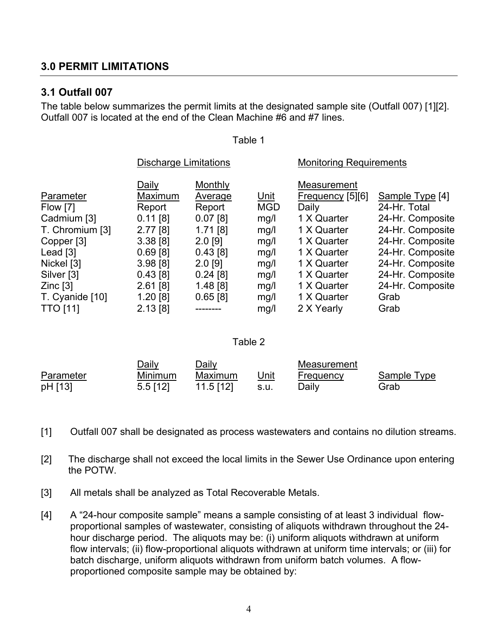### <span id="page-14-0"></span>**3.0 PERMIT LIMITATIONS**

### <span id="page-14-1"></span>**3.1 Outfall 007**

The table below summarizes the permit limits at the designated sample site (Outfall 007) [1][2]. Outfall 007 is located at the end of the Clean Machine #6 and #7 lines.

#### Table 1

|                 | <b>Discharge Limitations</b> |            |             | <b>Monitoring Requirements</b> |                  |  |
|-----------------|------------------------------|------------|-------------|--------------------------------|------------------|--|
|                 | Daily                        | Monthly    |             | Measurement                    |                  |  |
| Parameter       | Maximum                      | Average    | <u>Unit</u> | $F$ requency [5][6]            | Sample Type [4]  |  |
| Flow [7]        | Report                       | Report     | <b>MGD</b>  | Daily                          | 24-Hr. Total     |  |
| Cadmium [3]     | $0.11$ [8]                   | $0.07$ [8] | mg/l        | 1 X Quarter                    | 24-Hr. Composite |  |
| T. Chromium [3] | 2.77[8]                      | $1.71$ [8] | mg/l        | 1 X Quarter                    | 24-Hr. Composite |  |
| Copper [3]      | 3.38[8]                      | $2.0$ [9]  | mg/l        | 1 X Quarter                    | 24-Hr. Composite |  |
| Lead $[3]$      | 0.69[8]                      | $0.43$ [8] | mg/l        | 1 X Quarter                    | 24-Hr. Composite |  |
| Nickel [3]      | 3.98[8]                      | $2.0$ [9]  | mg/l        | 1 X Quarter                    | 24-Hr. Composite |  |
| Silver [3]      | 0.43[8]                      | $0.24$ [8] | mg/l        | 1 X Quarter                    | 24-Hr. Composite |  |
| $Zinc$ [3]      | $2.61$ [8]                   | $1.48$ [8] | mg/l        | 1 X Quarter                    | 24-Hr. Composite |  |
| T. Cyanide [10] | $1.20$ [8]                   | $0.65$ [8] | mg/l        | 1 X Quarter                    | Grab             |  |
| <b>TTO [11]</b> | 2.13[8]                      |            | mg/l        | 2 X Yearly                     | Grab             |  |

#### Table 2

|           | Daily      | Daily     |      | Measurement |             |
|-----------|------------|-----------|------|-------------|-------------|
| Parameter | Minimum    | Maximum   | Unit | Frequency   | Sample Type |
| pH [13]   | $5.5$ [12] | 11.5 [12] | s.u. | Dailv       | Grab        |

[1] Outfall 007 shall be designated as process wastewaters and contains no dilution streams.

[2] The discharge shall not exceed the local limits in the Sewer Use Ordinance upon entering the POTW.

- [3] All metals shall be analyzed as Total Recoverable Metals.
- [4] A "24-hour composite sample" means a sample consisting of at least 3 individual flowproportional samples of wastewater, consisting of aliquots withdrawn throughout the 24 hour discharge period. The aliquots may be: (i) uniform aliquots withdrawn at uniform flow intervals; (ii) flow-proportional aliquots withdrawn at uniform time intervals; or (iii) for batch discharge, uniform aliquots withdrawn from uniform batch volumes. A flowproportioned composite sample may be obtained by: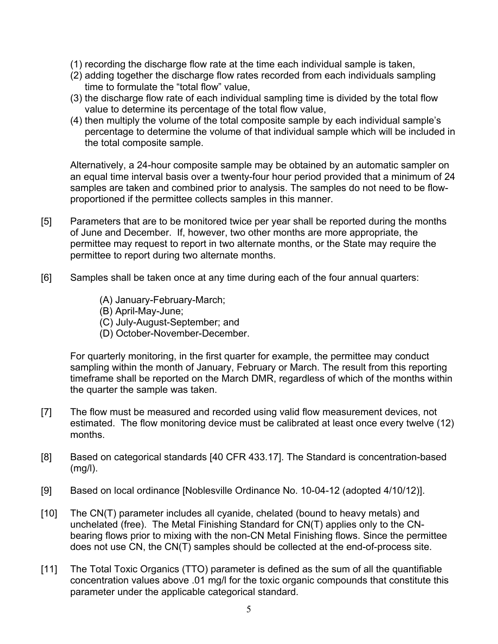- (1) recording the discharge flow rate at the time each individual sample is taken,
- (2) adding together the discharge flow rates recorded from each individuals sampling time to formulate the "total flow" value,
- (3) the discharge flow rate of each individual sampling time is divided by the total flow value to determine its percentage of the total flow value,
- (4) then multiply the volume of the total composite sample by each individual sample's percentage to determine the volume of that individual sample which will be included in the total composite sample.

Alternatively, a 24-hour composite sample may be obtained by an automatic sampler on an equal time interval basis over a twenty-four hour period provided that a minimum of 24 samples are taken and combined prior to analysis. The samples do not need to be flowproportioned if the permittee collects samples in this manner.

- [5] Parameters that are to be monitored twice per year shall be reported during the months of June and December. If, however, two other months are more appropriate, the permittee may request to report in two alternate months, or the State may require the permittee to report during two alternate months.
- [6] Samples shall be taken once at any time during each of the four annual quarters:
	- (A) January-February-March;
	- (B) April-May-June;
	- (C) July-August-September; and
	- (D) October-November-December.

For quarterly monitoring, in the first quarter for example, the permittee may conduct sampling within the month of January, February or March. The result from this reporting timeframe shall be reported on the March DMR, regardless of which of the months within the quarter the sample was taken.

- [7] The flow must be measured and recorded using valid flow measurement devices, not estimated. The flow monitoring device must be calibrated at least once every twelve (12) months.
- [8] Based on categorical standards [40 CFR 433.17]. The Standard is concentration-based (mg/l).
- [9] Based on local ordinance [Noblesville Ordinance No. 10-04-12 (adopted 4/10/12)].
- [10] The CN(T) parameter includes all cyanide, chelated (bound to heavy metals) and unchelated (free). The Metal Finishing Standard for CN(T) applies only to the CNbearing flows prior to mixing with the non-CN Metal Finishing flows. Since the permittee does not use CN, the CN(T) samples should be collected at the end-of-process site.
- [11] The Total Toxic Organics (TTO) parameter is defined as the sum of all the quantifiable concentration values above .01 mg/l for the toxic organic compounds that constitute this parameter under the applicable categorical standard.